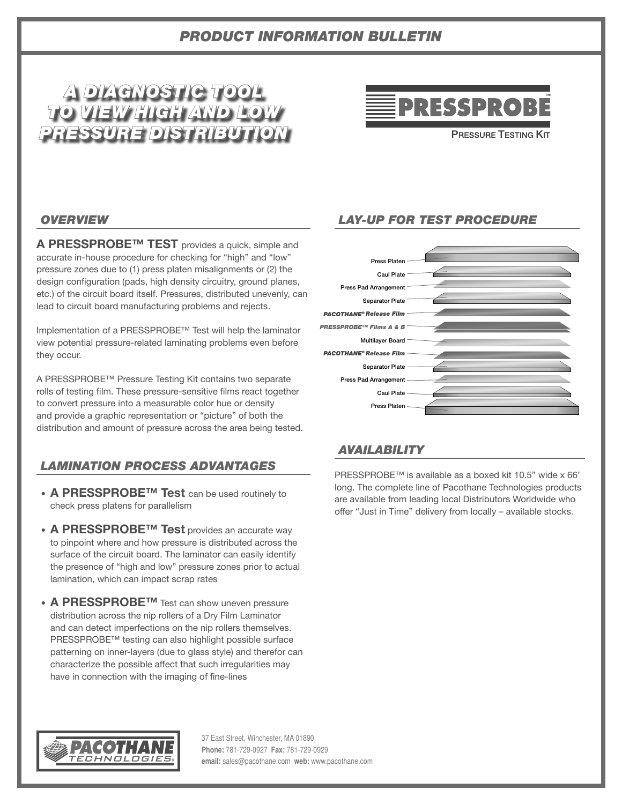# *PRODUCT INFORMATION BULLETIN*

# *A DIAGNOSTIC TOOL TO VIEW HIGH AND LOW PRESSURE DISTRIBUTION*



**PRESSURE TESTING KIT** 

#### *OVERVIEW*

**A PRESSPROBE™ TEST** provides a quick, simple and accurate in-house procedure for checking for "high" and "low" pressure zones due to (1) press platen misalignments or (2) the design configuration (pads, high density circuitry, ground planes, etc.) of the circuit board itself. Pressures, distributed unevenly, can lead to circuit board manufacturing problems and rejects.

Implementation of a PRESSPROBE™ Test will help the laminator view potential pressure-related laminating problems even before they occur.

A PRESSPROBE™ Pressure Testing Kit contains two separate rolls of testing film. These pressure-sensitive films react together to convert pressure into a measurable color hue or density and provide a graphic representation or "picture" of both the distribution and amount of pressure across the area being tested.

## *LAMINATION PROCESS ADVANTAGES*

- **A PRESSPROBE™ Test** can be used routinely to check press platens for parallelism
- **A PRESSPROBE™ Test** provides an accurate way to pinpoint where and how pressure is distributed across the surface of the circuit board. The laminator can easily identify the presence of "high and low" pressure zones prior to actual lamination, which can impact scrap rates
- **A PRESSPROBE™** Test can show uneven pressure distribution across the nip rollers of a Dry Film Laminator and can detect imperfections on the nip rollers themselves. PRESSPROBE™ testing can also highlight possible surface patterning on inner-layers (due to glass style) and therefor can characterize the possible affect that such irregularities may have in connection with the imaging of fine-lines

## *LAY-UP FOR TEST PROCEDURE*



#### *AVAILABILITY*

PRESSPROBE™ is available as a boxed kit 10.5" wide x 66' long. The complete line of Pacothane Technologies products are available from leading local Distributors Worldwide who offer "Just in Time" delivery from locally – available stocks.



37 East Street, Winchester, MA 01890 **Phone:** 781-729-0927 **Fax:** 781-729-0929 **email:** sales@pacothane.com **web:** www.pacothane.com